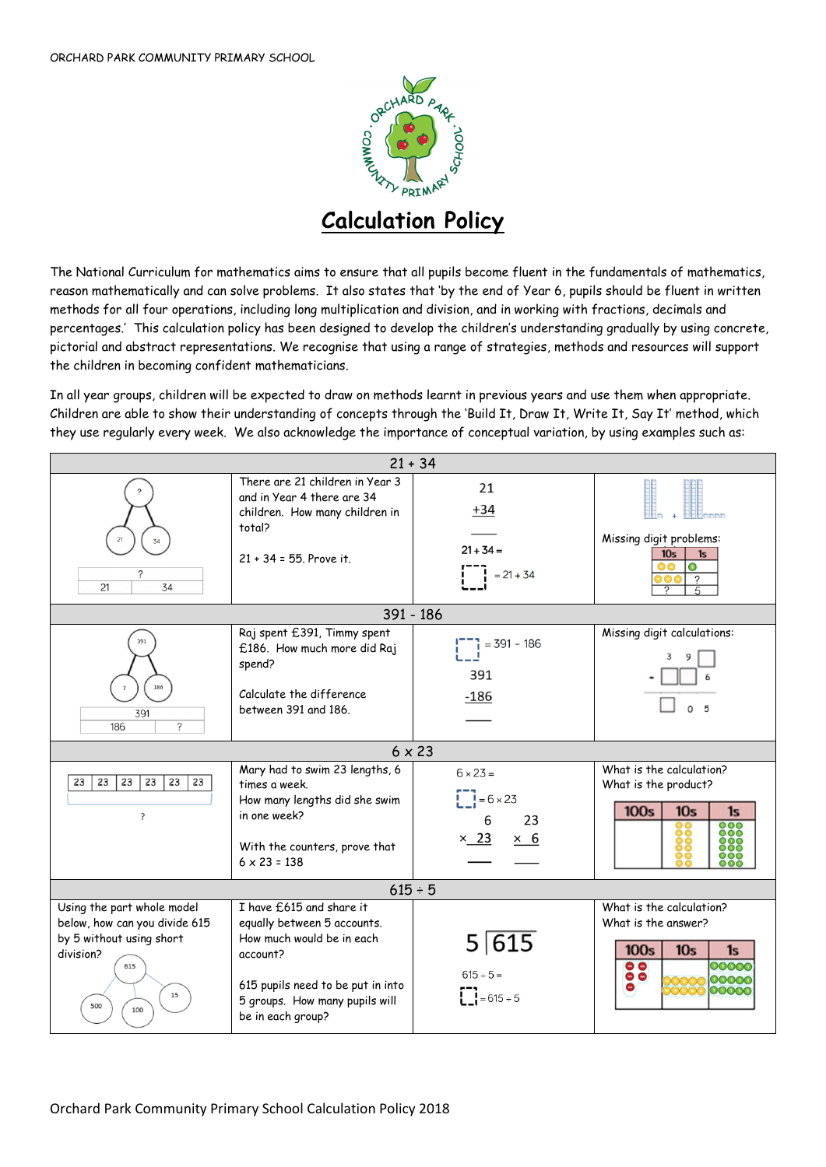

## **Calculation Policy**

The National Curriculum for mathematics aims to ensure that all pupils become fluent in the fundamentals of mathematics, reason mathematically and can solve problems. It also states that 'by the end of Year 6, pupils should be fluent in written methods for all four operations, including long multiplication and division, and in working with fractions, decimals and percentages.' This calculation policy has been designed to develop the children's understanding gradually by using concrete, pictorial and abstract representations. We recognise that using a range of strategies, methods and resources will support the children in becoming confident mathematicians.

In all year groups, children will be expected to draw on methods learnt in previous years and use them when appropriate. Children are able to show their understanding of concepts through the 'Build It, Draw It, Write It, Say It' method, which they use regularly every week. We also acknowledge the importance of conceptual variation, by using examples such as:

| $21 + 34$                                                                                                                       |                                                                                                                                                                                              |                                                                                        |                                                                                                                                       |
|---------------------------------------------------------------------------------------------------------------------------------|----------------------------------------------------------------------------------------------------------------------------------------------------------------------------------------------|----------------------------------------------------------------------------------------|---------------------------------------------------------------------------------------------------------------------------------------|
| 21<br>34<br>21<br>34                                                                                                            | There are 21 children in Year 3<br>and in Year 4 there are 34<br>children. How many children in<br>total?<br>$21 + 34 = 55$ . Prove it.                                                      | 21<br>+34<br>$21 + 34 =$<br>$= 21 + 34$                                                | Missing digit problems:<br>10 <sub>s</sub><br>1s<br>$\bullet$<br>D G<br>?<br>$\overline{5}$                                           |
|                                                                                                                                 |                                                                                                                                                                                              | 391 - 186                                                                              |                                                                                                                                       |
| 391<br>186<br>391<br><sup>2</sup><br>186                                                                                        | Raj spent £391, Timmy spent<br>£186. How much more did Raj<br>spend?<br>Calculate the difference<br>between 391 and 186.                                                                     | $= 391 - 186$<br>391<br>$-186$                                                         | Missing digit calculations:<br>3                                                                                                      |
|                                                                                                                                 |                                                                                                                                                                                              | $6 \times 23$                                                                          |                                                                                                                                       |
| 23<br>23<br>23<br>23<br>23<br>23<br>?                                                                                           | Mary had to swim 23 lengths, 6<br>times a week.<br>How many lengths did she swim<br>in one week?<br>With the counters, prove that<br>$6 \times 23 = 138$                                     | $6 \times 23 =$<br>$1 = 6 \times 23$<br>6<br>23<br>$\times$ 23<br>$\times 6$           | What is the calculation?<br>What is the product?<br>100s<br>10 <sub>s</sub><br>1s<br>000<br>000<br>$\circ\circ\circ$                  |
| $615 \div 5$                                                                                                                    |                                                                                                                                                                                              |                                                                                        |                                                                                                                                       |
| Using the part whole model<br>below, how can you divide 615<br>by 5 without using short<br>division?<br>615<br>15<br>500<br>100 | I have £615 and share it<br>equally between 5 accounts.<br>How much would be in each<br>account?<br>615 pupils need to be put in into<br>5 groups. How many pupils will<br>be in each group? | $5\sqrt{615}$<br>$615 \div 5 =$<br>$\begin{bmatrix} 1 \\ 2 \end{bmatrix} = 615 \div 5$ | What is the calculation?<br>What is the answer?<br>100s<br>10 <sub>s</sub><br>1s<br>00000<br>$\bullet$<br>$\bullet$<br>00000<br>00000 |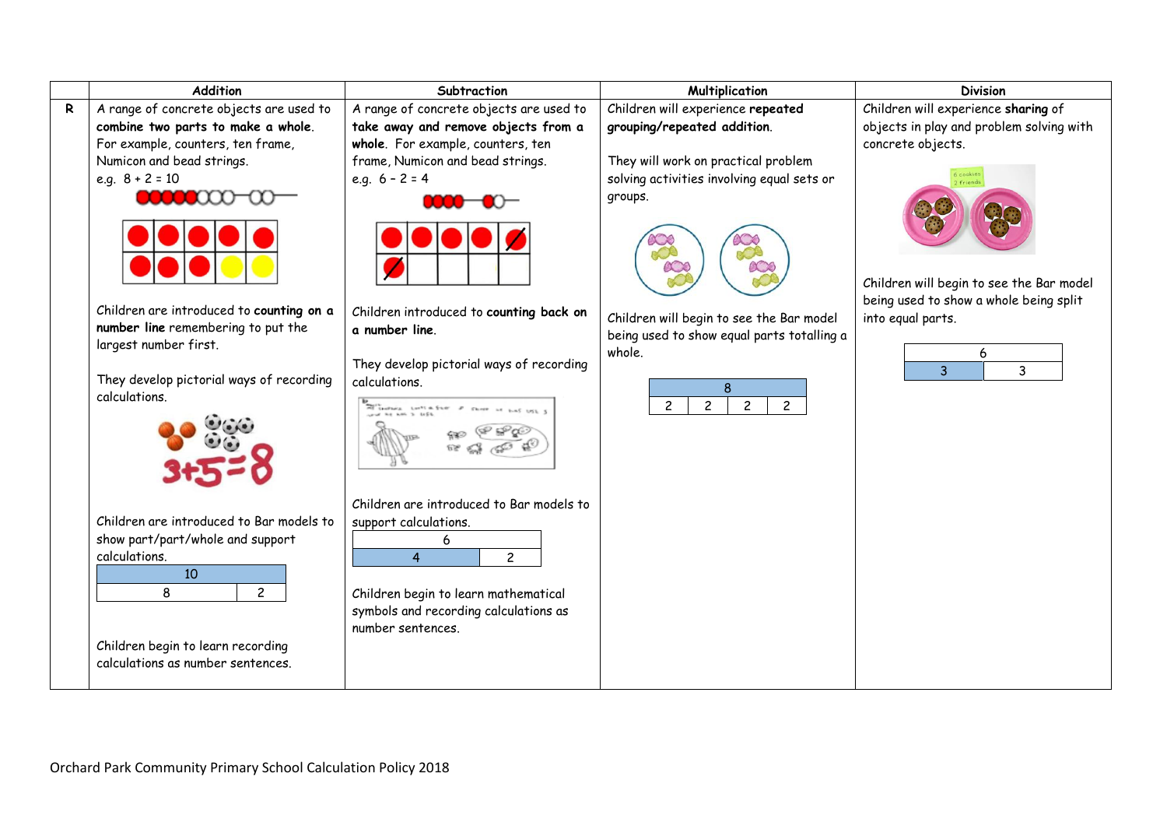|   | <b>Addition</b>                                                                                                          | Subtraction                                                                                                                                                                               | Multiplication                                                                               | <b>Division</b>                                               |
|---|--------------------------------------------------------------------------------------------------------------------------|-------------------------------------------------------------------------------------------------------------------------------------------------------------------------------------------|----------------------------------------------------------------------------------------------|---------------------------------------------------------------|
| R | A range of concrete objects are used to                                                                                  | A range of concrete objects are used to                                                                                                                                                   | Children will experience repeated                                                            | Children will experience sharing of                           |
|   | combine two parts to make a whole.<br>For example, counters, ten frame,                                                  | take away and remove objects from a<br>whole. For example, counters, ten                                                                                                                  | grouping/repeated addition.                                                                  | objects in play and problem solving with<br>concrete objects. |
|   | Numicon and bead strings.<br>e.g. $8 + 2 = 10$                                                                           | frame, Numicon and bead strings.<br>e.g. $6 - 2 = 4$                                                                                                                                      | They will work on practical problem<br>solving activities involving equal sets or<br>groups. | s cookie<br>friend                                            |
|   |                                                                                                                          |                                                                                                                                                                                           |                                                                                              | Children will begin to see the Bar model                      |
|   |                                                                                                                          |                                                                                                                                                                                           |                                                                                              | being used to show a whole being split                        |
|   | Children are introduced to counting on a<br>number line remembering to put the<br>largest number first.                  | Children introduced to counting back on<br>a number line.                                                                                                                                 | Children will begin to see the Bar model<br>being used to show equal parts totalling a       | into equal parts.                                             |
|   |                                                                                                                          | They develop pictorial ways of recording                                                                                                                                                  | whole.                                                                                       | 6                                                             |
|   | They develop pictorial ways of recording<br>calculations.                                                                | calculations.<br>Performance Lentick Ever # short at ball USL 3<br>The first and 3 left.                                                                                                  | 8<br>$\overline{c}$<br>$\overline{c}$<br>$\overline{c}$<br>$\overline{c}$                    | 3<br>3                                                        |
|   | Children are introduced to Bar models to<br>show part/part/whole and support<br>calculations.<br>10<br>8<br>$\mathbf{2}$ | Children are introduced to Bar models to<br>support calculations.<br>6<br>$\overline{4}$<br>$\mathbf{2}$<br>Children begin to learn mathematical<br>symbols and recording calculations as |                                                                                              |                                                               |
|   | Children begin to learn recording<br>calculations as number sentences.                                                   | number sentences.                                                                                                                                                                         |                                                                                              |                                                               |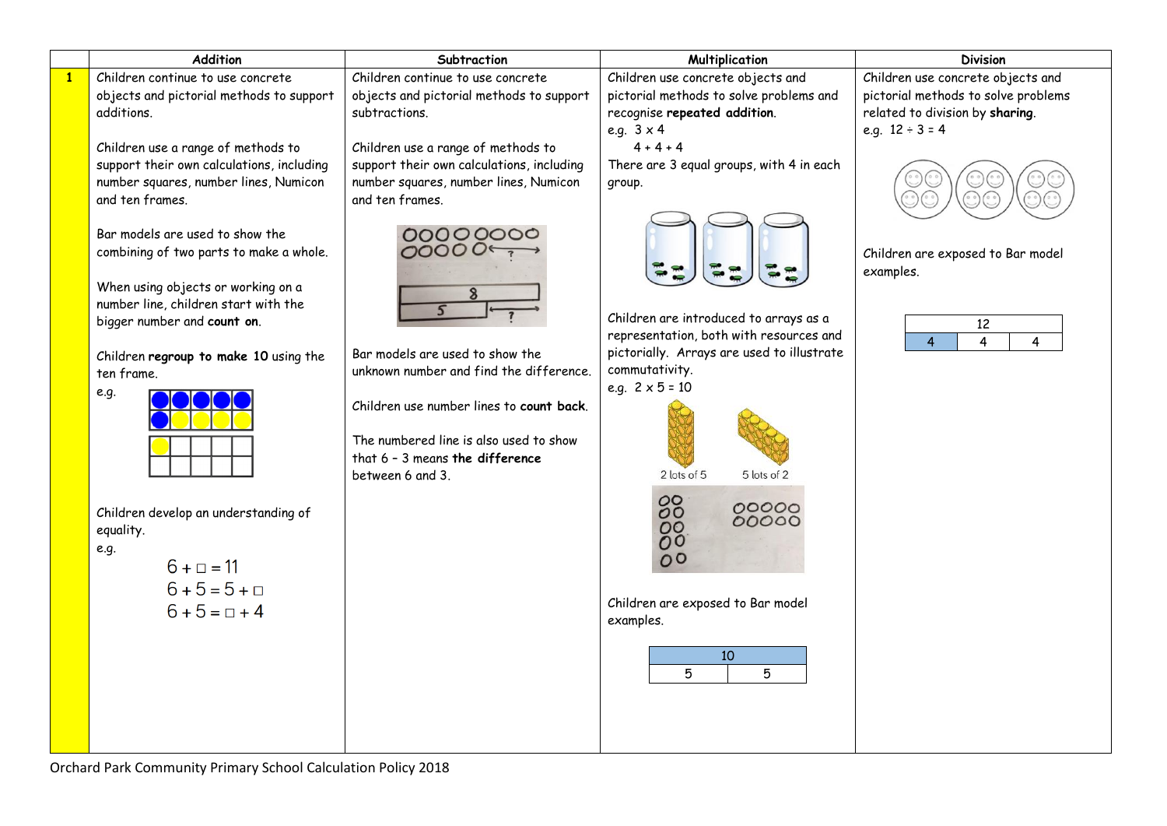|              | Addition                                                                                                                                                                                                                                               | Subtraction                                                                                                                                                                                                                           | Multiplication                                                                                                                                                                                            | <b>Division</b>                                                     |
|--------------|--------------------------------------------------------------------------------------------------------------------------------------------------------------------------------------------------------------------------------------------------------|---------------------------------------------------------------------------------------------------------------------------------------------------------------------------------------------------------------------------------------|-----------------------------------------------------------------------------------------------------------------------------------------------------------------------------------------------------------|---------------------------------------------------------------------|
| $\mathbf{1}$ | Children continue to use concrete                                                                                                                                                                                                                      | Children continue to use concrete                                                                                                                                                                                                     | Children use concrete objects and                                                                                                                                                                         | Children use concrete objects and                                   |
|              | objects and pictorial methods to support                                                                                                                                                                                                               | objects and pictorial methods to support                                                                                                                                                                                              | pictorial methods to solve problems and                                                                                                                                                                   | pictorial methods to solve problems                                 |
|              | additions.                                                                                                                                                                                                                                             | subtractions.                                                                                                                                                                                                                         | recognise repeated addition.                                                                                                                                                                              | related to division by sharing.                                     |
|              |                                                                                                                                                                                                                                                        |                                                                                                                                                                                                                                       | e.g. $3 \times 4$                                                                                                                                                                                         | e.g. $12 \div 3 = 4$                                                |
|              | Children use a range of methods to                                                                                                                                                                                                                     | Children use a range of methods to                                                                                                                                                                                                    | $4 + 4 + 4$                                                                                                                                                                                               |                                                                     |
|              | support their own calculations, including                                                                                                                                                                                                              | support their own calculations, including                                                                                                                                                                                             | There are 3 equal groups, with 4 in each                                                                                                                                                                  |                                                                     |
|              | number squares, number lines, Numicon                                                                                                                                                                                                                  | number squares, number lines, Numicon                                                                                                                                                                                                 | group.                                                                                                                                                                                                    |                                                                     |
|              | and ten frames.                                                                                                                                                                                                                                        | and ten frames.                                                                                                                                                                                                                       |                                                                                                                                                                                                           |                                                                     |
|              | Bar models are used to show the<br>combining of two parts to make a whole.<br>When using objects or working on a<br>number line, children start with the<br>bigger number and count on.<br>Children regroup to make 10 using the<br>ten frame.<br>e.g. | 00000000<br>Bar models are used to show the<br>unknown number and find the difference.<br>Children use number lines to count back.<br>The numbered line is also used to show<br>that $6 - 3$ means the difference<br>between 6 and 3. | Children are introduced to arrays as a<br>representation, both with resources and<br>pictorially. Arrays are used to illustrate<br>commutativity.<br>e.g. $2 \times 5 = 10$<br>2 lots of 5<br>5 lots of 2 | Children are exposed to Bar model<br>examples.<br>12<br>4<br>4<br>4 |
|              | Children develop an understanding of<br>equality.<br>e.g.<br>$6 + \square = 11$<br>$6 + 5 = 5 + \square$<br>$6 + 5 = \square + 4$                                                                                                                      |                                                                                                                                                                                                                                       | 88<br>00000<br>88<br>00<br>Children are exposed to Bar model<br>examples.<br>10<br>5<br>5                                                                                                                 |                                                                     |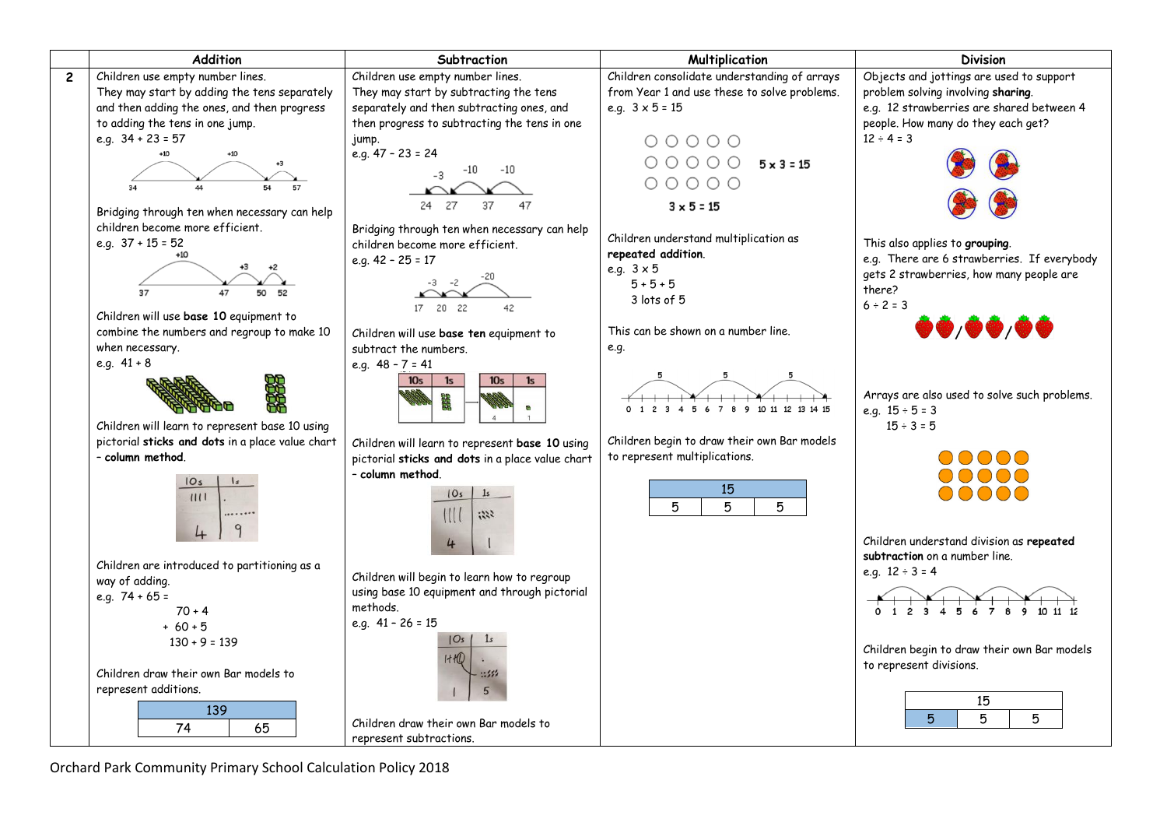

Orchard Park Community Primary School Calculation Policy 2018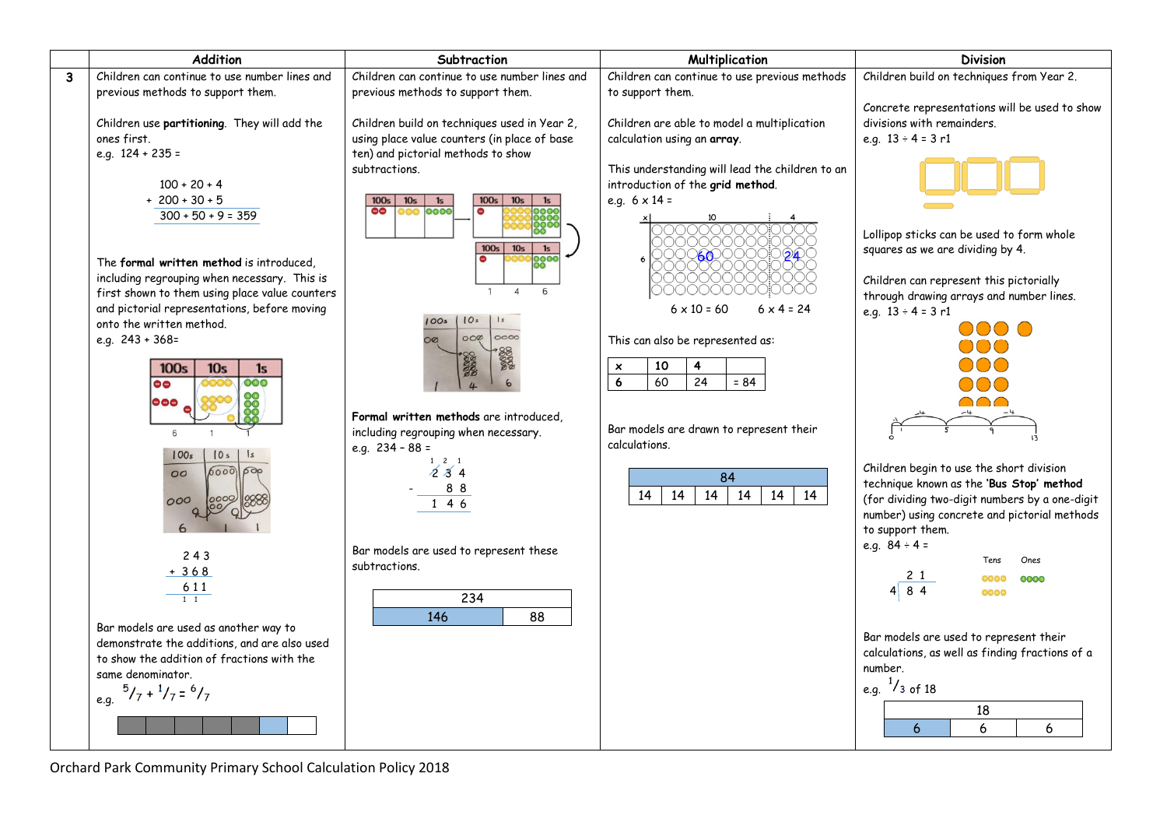|                         | Addition                                              | Subtraction                                                                      | Multiplication                                     | <b>Division</b>                                 |
|-------------------------|-------------------------------------------------------|----------------------------------------------------------------------------------|----------------------------------------------------|-------------------------------------------------|
| $\overline{\mathbf{3}}$ | Children can continue to use number lines and         | Children can continue to use number lines and                                    | Children can continue to use previous methods      | Children build on techniques from Year 2.       |
|                         | previous methods to support them.                     | previous methods to support them.                                                | to support them.                                   |                                                 |
|                         |                                                       |                                                                                  |                                                    | Concrete representations will be used to show   |
|                         | Children use partitioning. They will add the          | Children build on techniques used in Year 2,                                     | Children are able to model a multiplication        | divisions with remainders.                      |
|                         | ones first.                                           | using place value counters (in place of base                                     | calculation using an array.                        | e.g. $13 \div 4 = 3$ r1                         |
|                         | e.g. $124 + 235 =$                                    | ten) and pictorial methods to show                                               |                                                    |                                                 |
|                         |                                                       | subtractions.                                                                    | This understanding will lead the children to an    |                                                 |
|                         | $100 + 20 + 4$                                        |                                                                                  | introduction of the grid method.                   |                                                 |
|                         | $+200+30+5$                                           | 100 <sub>s</sub><br>100 <sub>s</sub><br>10 <sub>s</sub><br>1s<br>10 <sub>s</sub> | e.g. $6 \times 14 =$                               |                                                 |
|                         | $300 + 50 + 9 = 359$                                  | $\bullet\bullet$<br>0000<br>0<br>100                                             |                                                    |                                                 |
|                         |                                                       |                                                                                  |                                                    | Lollipop sticks can be used to form whole       |
|                         |                                                       | 100s<br>10 <sub>s</sub><br>1s                                                    | <b><i>OKADOOO</i></b>                              | squares as we are dividing by 4.                |
|                         | The formal written method is introduced,              | 0000                                                                             |                                                    |                                                 |
|                         | including regrouping when necessary. This is          |                                                                                  |                                                    | Children can represent this pictorially         |
|                         | first shown to them using place value counters        | 6<br>$\overline{4}$<br>$\mathbf{1}$                                              | ( ) ( ) ( ) ( ) ( ) ( ) ( )                        | through drawing arrays and number lines.        |
|                         | and pictorial representations, before moving          |                                                                                  | $6 \times 10 = 60$<br>$6 \times 4 = 24$            | e.g. $13 \div 4 = 3$ r1                         |
|                         | onto the written method.                              | 10s<br> s <br>100s                                                               |                                                    | 000 O                                           |
|                         | e.g. $243 + 368 =$                                    | 0000<br>$OO\varnothing$<br>$\infty$                                              | This can also be represented as:                   |                                                 |
|                         |                                                       | 800000                                                                           |                                                    |                                                 |
|                         | 100 <sub>s</sub><br>10 <sub>s</sub><br>1 <sub>s</sub> |                                                                                  | 4<br>10<br>$\boldsymbol{\mathsf{x}}$               |                                                 |
|                         | 000<br>88                                             |                                                                                  | $\overline{24}$<br>$6\phantom{1}6$<br>60<br>$= 84$ |                                                 |
|                         | $\bullet\bullet\bullet$                               |                                                                                  |                                                    | $\bigcap \bigcap$                               |
|                         |                                                       | Formal written methods are introduced,                                           |                                                    |                                                 |
|                         | $\epsilon$                                            | including regrouping when necessary.                                             | Bar models are drawn to represent their            |                                                 |
|                         | 100s<br>10 <sub>s</sub>                               | e.g. $234 - 88 =$                                                                | calculations.                                      |                                                 |
|                         | 6000<br>600<br>00                                     | $1 \quad 2 \quad 1$<br>234                                                       |                                                    | Children begin to use the short division        |
|                         |                                                       |                                                                                  | 84                                                 | technique known as the 'Bus Stop' method        |
|                         | 000                                                   | 88<br>146                                                                        | 14<br>14<br>14<br>14<br>14<br>14                   | (for dividing two-digit numbers by a one-digit  |
|                         |                                                       |                                                                                  |                                                    | number) using concrete and pictorial methods    |
|                         |                                                       |                                                                                  |                                                    | to support them.                                |
|                         |                                                       | Bar models are used to represent these                                           |                                                    | e.g. $84 \div 4 =$                              |
|                         | 243                                                   | subtractions.                                                                    |                                                    | Ones<br>Tens                                    |
|                         | $+368$                                                |                                                                                  |                                                    | 21<br>0000<br>0000                              |
|                         | 611                                                   |                                                                                  |                                                    | 84<br>0000                                      |
|                         | $1\quad1$                                             | 234                                                                              |                                                    |                                                 |
|                         | Bar models are used as another way to                 | 146<br>88                                                                        |                                                    |                                                 |
|                         | demonstrate the additions, and are also used          |                                                                                  |                                                    | Bar models are used to represent their          |
|                         | to show the addition of fractions with the            |                                                                                  |                                                    | calculations, as well as finding fractions of a |
|                         | same denominator.                                     |                                                                                  |                                                    | number.                                         |
|                         |                                                       |                                                                                  |                                                    | e.g. $\frac{1}{3}$ of 18                        |
|                         | $e.g. \frac{5}{7} + \frac{1}{7} = \frac{6}{7}$        |                                                                                  |                                                    |                                                 |
|                         |                                                       |                                                                                  |                                                    | 18                                              |
|                         |                                                       |                                                                                  |                                                    | 6<br>6<br>6                                     |
|                         |                                                       |                                                                                  |                                                    |                                                 |

Orchard Park Community Primary School Calculation Policy 2018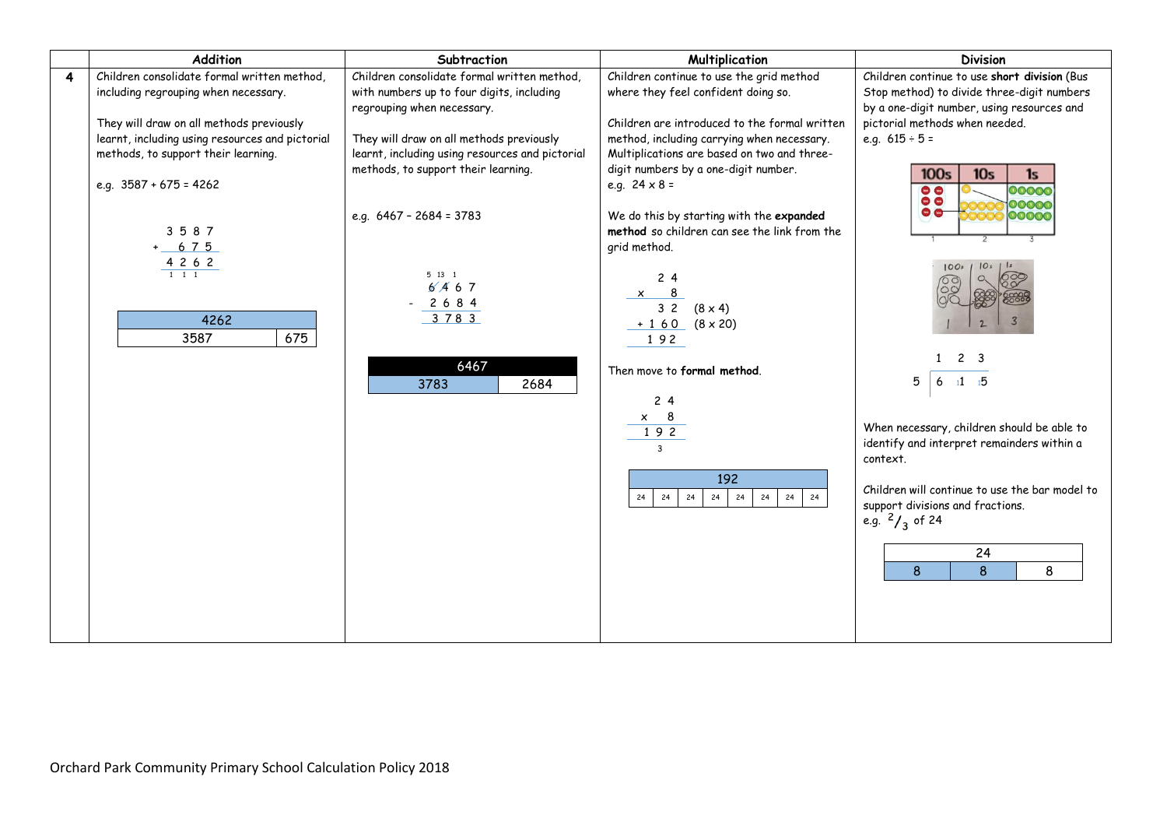|   | Addition                                        | Subtraction                                     | Multiplication                                | <b>Division</b>                                |
|---|-------------------------------------------------|-------------------------------------------------|-----------------------------------------------|------------------------------------------------|
| 4 | Children consolidate formal written method,     | Children consolidate formal written method,     | Children continue to use the grid method      | Children continue to use short division (Bus   |
|   | including regrouping when necessary.            | with numbers up to four digits, including       | where they feel confident doing so.           | Stop method) to divide three-digit numbers     |
|   |                                                 | regrouping when necessary.                      |                                               | by a one-digit number, using resources and     |
|   | They will draw on all methods previously        |                                                 | Children are introduced to the formal written | pictorial methods when needed.                 |
|   | learnt, including using resources and pictorial | They will draw on all methods previously        | method, including carrying when necessary.    | e.g. $615 \div 5 =$                            |
|   | methods, to support their learning.             | learnt, including using resources and pictorial | Multiplications are based on two and three-   |                                                |
|   |                                                 | methods, to support their learning.             | digit numbers by a one-digit number.          | 100s<br>10 <sub>s</sub><br>1s                  |
|   | e.g. $3587 + 675 = 4262$                        |                                                 | e.g. $24 \times 8 =$                          | $\bullet$<br>00000<br>$\bullet$ $\bullet$      |
|   |                                                 | e.g. $6467 - 2684 = 3783$                       | We do this by starting with the expanded      | 00000<br>$\bullet$<br>00000                    |
|   | 3587                                            |                                                 | method so children can see the link from the  |                                                |
|   | $+ 675$                                         |                                                 | grid method.                                  |                                                |
|   | 4 2 6 2                                         |                                                 |                                               | 100s                                           |
|   | $1 \quad 1 \quad 1$                             | 5 13 1                                          | 24                                            | $\circ$                                        |
|   |                                                 | 6/467                                           | $\times$ 8                                    |                                                |
|   |                                                 | 2 6 8 4<br>3783                                 | $32(8\times4)$                                |                                                |
|   | 4262                                            |                                                 | $+ 160 (8 \times 20)$                         |                                                |
|   | 675<br>3587                                     |                                                 | 192                                           |                                                |
|   |                                                 | 6467                                            |                                               | 2 <sub>3</sub>                                 |
|   |                                                 | 3783<br>2684                                    | Then move to formal method.                   | 5<br>$11 - 15$<br>6                            |
|   |                                                 |                                                 | 24                                            |                                                |
|   |                                                 |                                                 | 8<br>$\times$                                 |                                                |
|   |                                                 |                                                 | $192$                                         | When necessary, children should be able to     |
|   |                                                 |                                                 | $\overline{3}$                                | identify and interpret remainders within a     |
|   |                                                 |                                                 |                                               | context.                                       |
|   |                                                 |                                                 | 192                                           |                                                |
|   |                                                 |                                                 | 24<br>24<br>24<br>24<br>24<br>24<br>24<br>24  | Children will continue to use the bar model to |
|   |                                                 |                                                 |                                               | support divisions and fractions.               |
|   |                                                 |                                                 |                                               | e.g. $2/3$ of 24                               |
|   |                                                 |                                                 |                                               | 24                                             |
|   |                                                 |                                                 |                                               | 8<br>8<br>8                                    |
|   |                                                 |                                                 |                                               |                                                |
|   |                                                 |                                                 |                                               |                                                |
|   |                                                 |                                                 |                                               |                                                |
|   |                                                 |                                                 |                                               |                                                |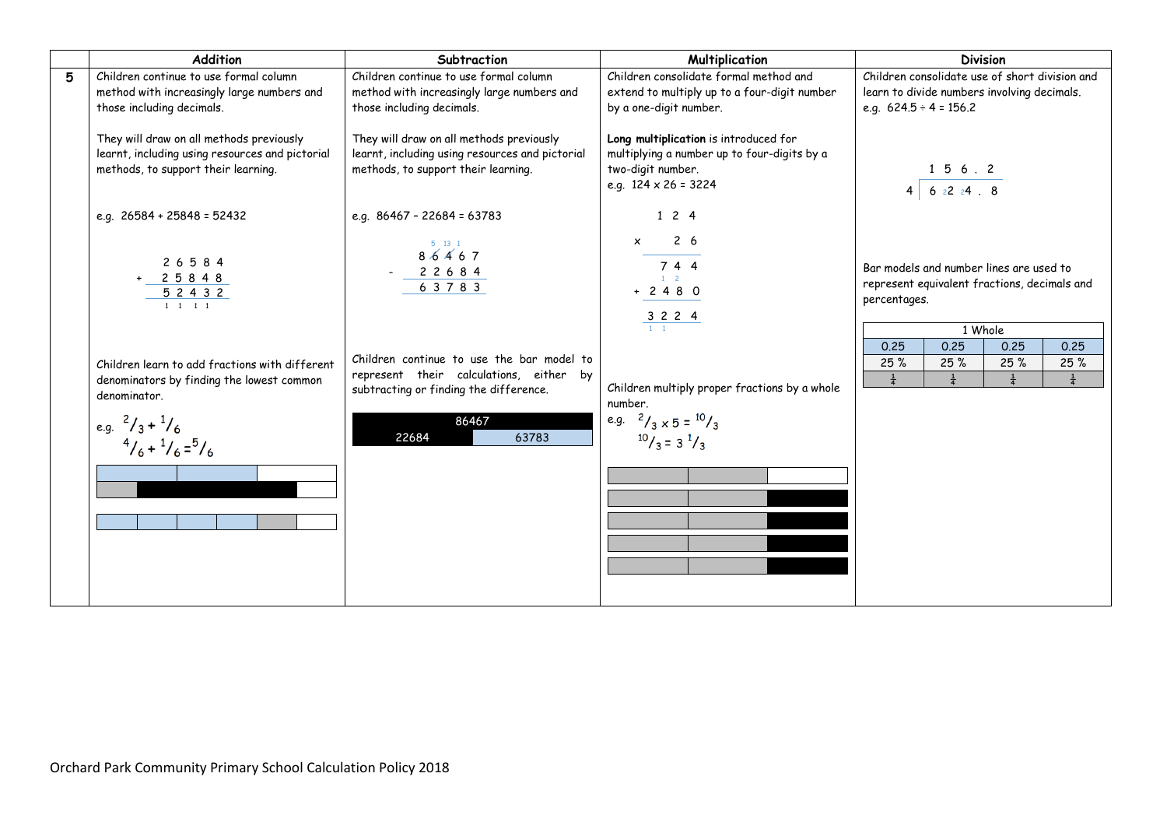|   | Addition                                                                                                                           | Subtraction                                                                                                                        | <b>Multiplication</b>                                                                                                                    | <b>Division</b>                                                                                                                         |
|---|------------------------------------------------------------------------------------------------------------------------------------|------------------------------------------------------------------------------------------------------------------------------------|------------------------------------------------------------------------------------------------------------------------------------------|-----------------------------------------------------------------------------------------------------------------------------------------|
| 5 | Children continue to use formal column<br>method with increasingly large numbers and<br>those including decimals.                  | Children continue to use formal column<br>method with increasingly large numbers and<br>those including decimals.                  | Children consolidate formal method and<br>extend to multiply up to a four-digit number<br>by a one-digit number.                         | Children consolidate use of short division and<br>learn to divide numbers involving decimals.<br>e.g. $624.5 \div 4 = 156.2$            |
|   | They will draw on all methods previously<br>learnt, including using resources and pictorial<br>methods, to support their learning. | They will draw on all methods previously<br>learnt, including using resources and pictorial<br>methods, to support their learning. | Long multiplication is introduced for<br>multiplying a number up to four-digits by a<br>two-digit number.<br>e.g. $124 \times 26 = 3224$ | 156.2<br>$4 \t 6 \t 2 \t 2 \t 4 \t 8$                                                                                                   |
|   | e.g. $26584 + 25848 = 52432$                                                                                                       | e.g. $86467 - 22684 = 63783$                                                                                                       | 124                                                                                                                                      |                                                                                                                                         |
|   | 26584<br>2 5 8 4 8<br>5 2 4 3 2<br>$1 \t1 \t1 \t1$                                                                                 | 5 13 1<br>86467<br>2 2 6 8 4<br>6 3 7 8 3                                                                                          | $2\overline{6}$<br>$\times$<br>744<br>$1 \quad 2$<br>$+ 2 4 8 0$<br>$\frac{32224}{11}$                                                   | Bar models and number lines are used to<br>represent equivalent fractions, decimals and<br>percentages.                                 |
|   | Children learn to add fractions with different<br>denominators by finding the lowest common<br>denominator.                        | Children continue to use the bar model to<br>represent their calculations, either by<br>subtracting or finding the difference.     | Children multiply proper fractions by a whole<br>number.                                                                                 | 1 Whole<br>0.25<br>0.25<br>0.25<br>0.25<br>25%<br>25%<br>25%<br>25%<br>$\frac{1}{4}$<br>$\frac{1}{4}$<br>$\frac{1}{4}$<br>$\frac{1}{4}$ |
|   | e.g. $^{2}/_{3}+^{1}/_{6}$<br>$\frac{4}{6} + \frac{1}{6} = \frac{5}{6}$                                                            | 86467<br>22684<br>63783                                                                                                            | e.g. $^{2}/_{3} \times 5 = ^{10}/_{3}$<br>$10/3 = 3 \frac{1}{3}$                                                                         |                                                                                                                                         |